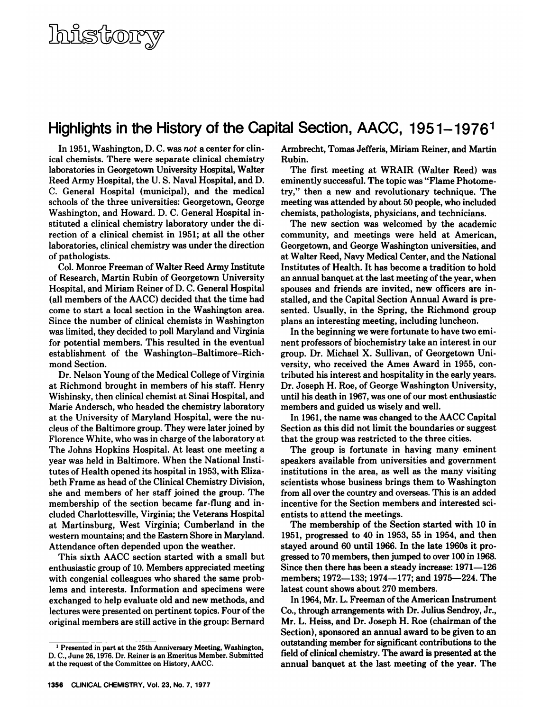## **Highlightsin the Historyof the Capital Section, AACC, 195 1\_19761**

In 1951, Washington, D. C. was not a center for clinical chemists. There were separate clinical chemistry laboratories in Georgetown University Hospital, Walter Reed Army Hospital, the U. S. Naval Hospital, and D. C. General Hospital (municipal), and the medical schools of the three universities: Georgetown, George Washington, and Howard. D. C. General Hospital instituted a clinical chemistry laboratory under the direction of a clinical chemist in 1951; at all the other laboratories, clinical chemistry was under the direction of pathologists.

Col. Monroe Freeman of Walter Reed Army Institute of Research, Martin Rubin of Georgetown University Hospital, and Miriam Reiner of D. C. General Hospital (all members of the AACC) decided that the time had come to start a local section in the Washington area. Since the number of clinical chemists in Washington was limited, they decided to poll Maryland and Virginia for potential members. This resulted in the eventual establishment of the Washington-Baltimore-Richmond Section.

Dr. Nelson Young of the Medical College of Virginia at Richmond brought in members of his staff. Henry Wishinsky, then clinical chemist at Sinai Hospital, and Marie Andersch, who headed the chemistry laboratory at the University of Maryland Hospital, were the nucleus of the Baltimore group. They were later joined by Florence White, who was in charge of the laboratory at The Johns Hopkins Hospital. At least one meeting a year was held in Baltimore. When the National Institutes of Health opened its hospital in 1953, with Elizabeth Frame as head of the Clinical Chemistry Division, she and members of her staff joined the group. The membership of the section became far-flung and included Charlottesville, Virginia; the Veterans Hospital at Martinsburg, West Virginia; Cumberland in the western mountains; and the Eastern Shore in Maryland. Attendance often depended upon the weather.

This sixth AACC section started with a small but enthusiastic group of 10. Members appreciated meeting with congenial colleagues who shared the same problems and interests. Information and specimens were exchanged to help evaluate old and new methods, and lectures were presented on pertinent topics. Four of the original members are still active in the group: Bernard

Armbrecht, Tomas Jefferis, Miriam Reiner, and Martin **Rubin.**

The first meeting at WRAIR (Walter Reed) was eminently successful. The topic was "Flame Photometry," then a new and revolutionary technique. The meeting was attended by about 50 people, who included chemists, pathologists, physicians, and technicians.

The new section was welcomed by the academic community, and meetings were held at American, Georgetown, and George Washington universities, and at Walter Reed, Navy Medical Center, and the National Institutes of Health. It has become a tradition to hold an annual banquet at the last meeting of the year, when spouses and friends are invited, new officers are installed, and the Capital Section Annual Award is presented. Usually, in the Spring, the Richmond group plans an interesting meeting, including luncheon.

In the beginning we were fortunate to have two eminent professors of biochemistry take an interest in our group. Dr. Michael X. Sullivan, of Georgetown University, who received the Ames Award in 1955, contributed his interest and hospitality in the early years. Dr. Joseph H. Roe, of George Washington University, until his death in 1967, was one of our most enthusiastic members and guided us wisely and well.

In 1961, the name was changed to the AACC Capital Section asthis did not limit the boundaries or suggest that the group was restricted to the three cities.

The group is fortunate in having many eminent speakers available from universities and government institutions in the area, as well as the many visiting scientists whose business brings them to Washington from all over the country and overseas. This is an added incentive for the Section members and interested scientists to attend the meetings.

The membership of the Section started with 10 in 1951, progressed to 40 in 1953, 55 in 1954, and then stayed around 60 until 1966. In the late 1960s it progressed to 70 members, then jumped to over 100 in 1968. Since then there has been a steady increase: 1971-126 members; 1972-133; 1974-177; and 1975-224. The latest count shows about 270 members.

In 1964, Mr. L. Freeman of the American Instrument Co., through arrangements with Dr.Julius Sendroy, Jr., Mr. L. Heiss, and Dr. Joseph H. Roe (chairman of the Section), sponsored an annual award to be given to an outstanding member for significant contributions to the field of clinical chemistry. The award is presented at the annual banquet at the lastmeeting of the year. The

**<sup>1</sup>** Presented in part at the 25th Anniversary Meeting, Washington, D. C., June 26, 1976. Dr. Reiner is an Emeritus Member. Submitted at the request of the Committee on History,AACC.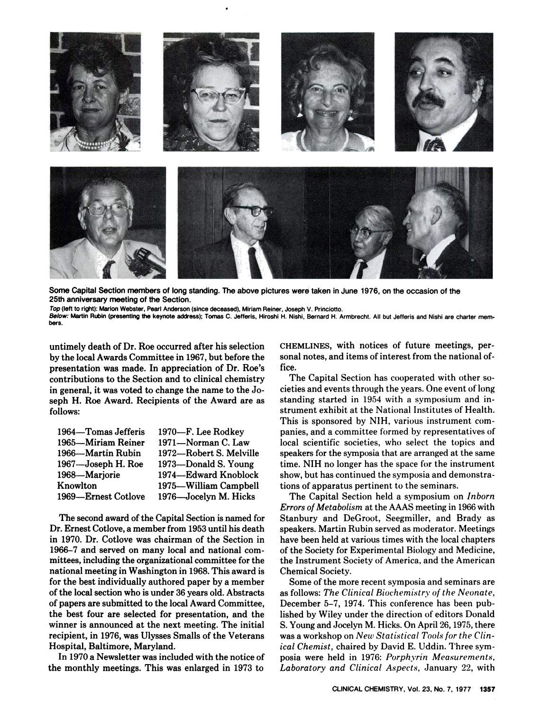

Some Capital Section members of long standing. The above pictures were taken in June 1976, on the occasion of the 25th anniversary meeting of the Section.

Top (left to right): Marion Webster, Pearl Anderson (since deceased), Miriam Reiner, Joseph V. Princiotto.

Below: Martin Rubin (presenting the keynote address); Tomas C. Jefferis, Hiroshi H. Nishi, Bernard H. Armbrecht. All but Jefferis and Nishi are charter members.

untimely death of Dr. Roe occurred after his selection by the localAwards Committee in 1967, but before the presentation was made. In appreciation of Dr. Roe's contributions to the Section and to clinical chemistry in general, it was voted to change the name to the Joseph H. Roe Award. Recipients of the Award are as follows:

| 1970—F. Lee Rodkey<br>1964—Tomas Jefferis<br>рa |     |
|-------------------------------------------------|-----|
| 1971-Norman C. Law<br>1965—Miriam Reiner        | lо  |
| 1966—Martin Rubin<br>1972—Robert S. Melville    | sp  |
| 1967—Joseph H. Roe<br>1973-Donald S. Young      | tir |
| 1968-Marjorie<br>1974—Edward Knoblock           | sh  |
| Knowlton<br>1975-William Campbell               | tio |
| 1969—Ernest Cotlove<br>1976—Jocelyn M. Hicks    |     |

The second award of the Capital Section is named for Dr. Ernest Cotlove, a member from 1953 until his death in 1970. Dr. Cotlove was chairman of the Section in 1966-7 and served on many local and national committees, including the organizational committee for the national meeting in Washington in 1968. This award is for the best individually authored paper by a member of the local section who is under 36 years old. Abstracts of papers are submitted to the localAward Committee, the best four are selected for presentation, and the winner is announced at the next meeting. The initial recipient, in 1976, was Ulysses Smalls of the Veterans Hospital, Baltimore, Maryland.

In 1970 a Newsletter was included with the notice of the monthly meetings. This was enlarged in 1973 to

CHEMLINES, with notices of future meetings, personal notes, and items of interest from the national office.

The Capital Section has cooperated with other so cieties and events through the years. One event of'long standing started in 1954 with a symposium and instrument exhibit at the National Institutes of Health. This is sponsored by NIH, various instrument companies, and a committee formed by representatives of local scientific societies, who select the topics and speakers for the symposia that are arranged at the same time. NIH no longer has the space for the instrument show, but has continued the symposia and demonstrations of apparatus pertinent to the seminars.

The Capital Section held a symposium on Inborn Errors of Metabolism at the AAAS meeting in 1966 with Stanbury and DeGroot, Seegmiller, and Brady as speakers. Martin Rubin served as moderator. Meetings have been held at various times with the local chapters of the Society forExperimental Biology and Medicine, the Instrument Society of America, and the American Chemical Society.

Some of the more recent symposia and seminars are as follows: *The Clinical Biochemistry of the Neonate,* December 5-7, 1974. This conference has been published by Wiley under the direction of editors Donald S. Young and Jocelyn M. Hicks. On April 26, 1975, there was a workshop on *Neu Statistical Tools for the* Clin*ical* Chemist, chaired by David E. Uddin. Three symposia were held in 1976: *Porphyrin Measurements, Laboratory and Clinical Aspects,* January 22, with